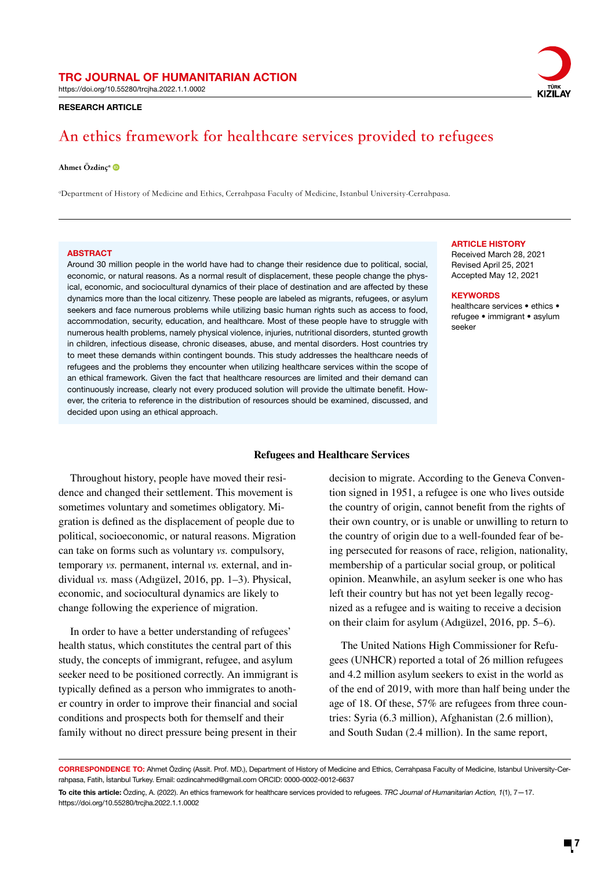https://doi.org/10.55280/trcjha.2022.1.1.0002

RESEARCH ARTICLE

# **An ethics framework for healthcare services provided to refugees**

#### Ahmet Özdinç<sup>a</sup>

a Department of History of Medicine and Ethics, Cerrahpasa Faculty of Medicine, Istanbul University-Cerrahpasa.

#### **ABSTRACT**

Around 30 million people in the world have had to change their residence due to political, social, economic, or natural reasons. As a normal result of displacement, these people change the physical, economic, and sociocultural dynamics of their place of destination and are affected by these dynamics more than the local citizenry. These people are labeled as migrants, refugees, or asylum seekers and face numerous problems while utilizing basic human rights such as access to food, accommodation, security, education, and healthcare. Most of these people have to struggle with numerous health problems, namely physical violence, injuries, nutritional disorders, stunted growth in children, infectious disease, chronic diseases, abuse, and mental disorders. Host countries try to meet these demands within contingent bounds. This study addresses the healthcare needs of refugees and the problems they encounter when utilizing healthcare services within the scope of an ethical framework. Given the fact that healthcare resources are limited and their demand can continuously increase, clearly not every produced solution will provide the ultimate benefit. However, the criteria to reference in the distribution of resources should be examined, discussed, and decided upon using an ethical approach.

#### **Refugees and Healthcare Services**

Throughout history, people have moved their residence and changed their settlement. This movement is sometimes voluntary and sometimes obligatory. Migration is defined as the displacement of people due to political, socioeconomic, or natural reasons. Migration can take on forms such as voluntary *vs.* compulsory, temporary *vs.* permanent, internal *vs.* external, and individual *vs.* mass (Adıgüzel, 2016, pp. 1–3). Physical, economic, and sociocultural dynamics are likely to change following the experience of migration.

In order to have a better understanding of refugees' health status, which constitutes the central part of this study, the concepts of immigrant, refugee, and asylum seeker need to be positioned correctly. An immigrant is typically defined as a person who immigrates to another country in order to improve their financial and social conditions and prospects both for themself and their family without no direct pressure being present in their

decision to migrate. According to the Geneva Convention signed in 1951, a refugee is one who lives outside the country of origin, cannot benefit from the rights of their own country, or is unable or unwilling to return to the country of origin due to a well-founded fear of being persecuted for reasons of race, religion, nationality, membership of a particular social group, or political opinion. Meanwhile, an asylum seeker is one who has left their country but has not yet been legally recognized as a refugee and is waiting to receive a decision on their claim for asylum (Adıgüzel, 2016, pp. 5–6).

The United Nations High Commissioner for Refugees (UNHCR) reported a total of 26 million refugees and 4.2 million asylum seekers to exist in the world as of the end of 2019, with more than half being under the age of 18. Of these, 57% are refugees from three countries: Syria (6.3 million), Afghanistan (2.6 million), and South Sudan (2.4 million). In the same report,

CORRESPONDENCE TO: Ahmet Özdinç (Assit. Prof. MD.), Department of History of Medicine and Ethics, Cerrahpasa Faculty of Medicine, Istanbul University-Cerrahpasa, Fatih, İstanbul Turkey. Email: ozdincahmed@gmail.com ORCID: 0000-0002-0012-6637

#### ARTICLE HISTORY

Received March 28, 2021 Revised April 25, 2021 Accepted May 12, 2021

#### **KEYWORDS**

healthcare services • ethics • refugee • immigrant • asylum seeker



To cite this article: Özdinç, A. (2022). An ethics framework for healthcare services provided to refugees. *TRC Journal of Humanitarian Action, 1*(1), 7—17. https://doi.org/10.55280/trcjha.2022.1.1.0002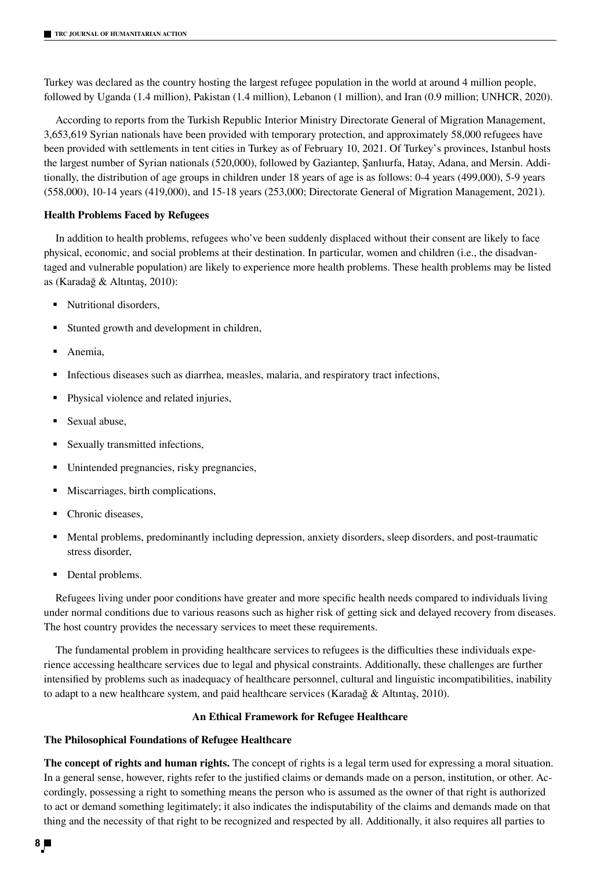Turkey was declared as the country hosting the largest refugee population in the world at around 4 million people, followed by Uganda (1.4 million), Pakistan (1.4 million), Lebanon (1 million), and Iran (0.9 million; UNHCR, 2020).

According to reports from the Turkish Republic Interior Ministry Directorate General of Migration Management, 3,653,619 Syrian nationals have been provided with temporary protection, and approximately 58,000 refugees have been provided with settlements in tent cities in Turkey as of February 10, 2021. Of Turkey's provinces, Istanbul hosts the largest number of Syrian nationals (520,000), followed by Gaziantep, Şanlıurfa, Hatay, Adana, and Mersin. Additionally, the distribution of age groups in children under 18 years of age is as follows: 0-4 years (499,000), 5-9 years (558,000), 10-14 years (419,000), and 15-18 years (253,000; Directorate General of Migration Management, 2021).

## **Health Problems Faced by Refugees**

In addition to health problems, refugees who've been suddenly displaced without their consent are likely to face physical, economic, and social problems at their destination. In particular, women and children (i.e., the disadvantaged and vulnerable population) are likely to experience more health problems. These health problems may be listed as (Karadağ & Altıntaş, 2010):

- Nutritional disorders,
- Stunted growth and development in children,
- Anemia,
- Infectious diseases such as diarrhea, measles, malaria, and respiratory tract infections,
- Physical violence and related injuries,
- Sexual abuse,
- Sexually transmitted infections,
- Unintended pregnancies, risky pregnancies,
- Miscarriages, birth complications,
- Chronic diseases,
- Mental problems, predominantly including depression, anxiety disorders, sleep disorders, and post-traumatic stress disorder,
- Dental problems.

Refugees living under poor conditions have greater and more specific health needs compared to individuals living under normal conditions due to various reasons such as higher risk of getting sick and delayed recovery from diseases. The host country provides the necessary services to meet these requirements.

The fundamental problem in providing healthcare services to refugees is the difficulties these individuals experience accessing healthcare services due to legal and physical constraints. Additionally, these challenges are further intensified by problems such as inadequacy of healthcare personnel, cultural and linguistic incompatibilities, inability to adapt to a new healthcare system, and paid healthcare services (Karadağ & Altıntaş, 2010).

### **An Ethical Framework for Refugee Healthcare**

## **The Philosophical Foundations of Refugee Healthcare**

**The concept of rights and human rights.** The concept of rights is a legal term used for expressing a moral situation. In a general sense, however, rights refer to the justified claims or demands made on a person, institution, or other. Accordingly, possessing a right to something means the person who is assumed as the owner of that right is authorized to act or demand something legitimately; it also indicates the indisputability of the claims and demands made on that thing and the necessity of that right to be recognized and respected by all. Additionally, it also requires all parties to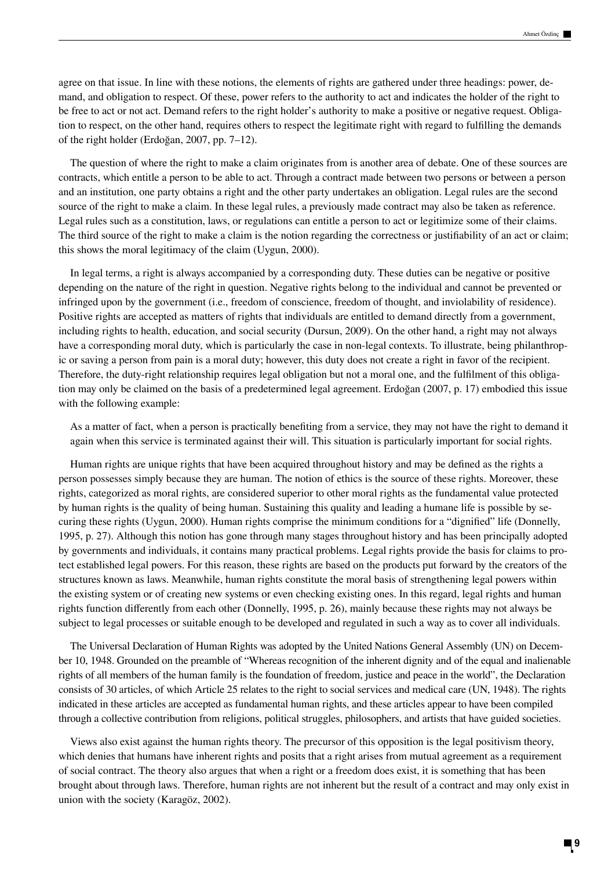agree on that issue. In line with these notions, the elements of rights are gathered under three headings: power, demand, and obligation to respect. Of these, power refers to the authority to act and indicates the holder of the right to be free to act or not act. Demand refers to the right holder's authority to make a positive or negative request. Obligation to respect, on the other hand, requires others to respect the legitimate right with regard to fulfilling the demands of the right holder (Erdoğan, 2007, pp. 7–12).

The question of where the right to make a claim originates from is another area of debate. One of these sources are contracts, which entitle a person to be able to act. Through a contract made between two persons or between a person and an institution, one party obtains a right and the other party undertakes an obligation. Legal rules are the second source of the right to make a claim. In these legal rules, a previously made contract may also be taken as reference. Legal rules such as a constitution, laws, or regulations can entitle a person to act or legitimize some of their claims. The third source of the right to make a claim is the notion regarding the correctness or justifiability of an act or claim; this shows the moral legitimacy of the claim (Uygun, 2000).

In legal terms, a right is always accompanied by a corresponding duty. These duties can be negative or positive depending on the nature of the right in question. Negative rights belong to the individual and cannot be prevented or infringed upon by the government (i.e., freedom of conscience, freedom of thought, and inviolability of residence). Positive rights are accepted as matters of rights that individuals are entitled to demand directly from a government, including rights to health, education, and social security (Dursun, 2009). On the other hand, a right may not always have a corresponding moral duty, which is particularly the case in non-legal contexts. To illustrate, being philanthropic or saving a person from pain is a moral duty; however, this duty does not create a right in favor of the recipient. Therefore, the duty-right relationship requires legal obligation but not a moral one, and the fulfilment of this obligation may only be claimed on the basis of a predetermined legal agreement. Erdoğan (2007, p. 17) embodied this issue with the following example:

As a matter of fact, when a person is practically benefiting from a service, they may not have the right to demand it again when this service is terminated against their will. This situation is particularly important for social rights.

Human rights are unique rights that have been acquired throughout history and may be defined as the rights a person possesses simply because they are human. The notion of ethics is the source of these rights. Moreover, these rights, categorized as moral rights, are considered superior to other moral rights as the fundamental value protected by human rights is the quality of being human. Sustaining this quality and leading a humane life is possible by securing these rights (Uygun, 2000). Human rights comprise the minimum conditions for a "dignified" life (Donnelly, 1995, p. 27). Although this notion has gone through many stages throughout history and has been principally adopted by governments and individuals, it contains many practical problems. Legal rights provide the basis for claims to protect established legal powers. For this reason, these rights are based on the products put forward by the creators of the structures known as laws. Meanwhile, human rights constitute the moral basis of strengthening legal powers within the existing system or of creating new systems or even checking existing ones. In this regard, legal rights and human rights function differently from each other (Donnelly, 1995, p. 26), mainly because these rights may not always be subject to legal processes or suitable enough to be developed and regulated in such a way as to cover all individuals.

The Universal Declaration of Human Rights was adopted by the United Nations General Assembly (UN) on December 10, 1948. Grounded on the preamble of "Whereas recognition of the inherent dignity and of the equal and inalienable rights of all members of the human family is the foundation of freedom, justice and peace in the world", the Declaration consists of 30 articles, of which Article 25 relates to the right to social services and medical care (UN, 1948). The rights indicated in these articles are accepted as fundamental human rights, and these articles appear to have been compiled through a collective contribution from religions, political struggles, philosophers, and artists that have guided societies.

Views also exist against the human rights theory. The precursor of this opposition is the legal positivism theory, which denies that humans have inherent rights and posits that a right arises from mutual agreement as a requirement of social contract. The theory also argues that when a right or a freedom does exist, it is something that has been brought about through laws. Therefore, human rights are not inherent but the result of a contract and may only exist in union with the society (Karagöz, 2002).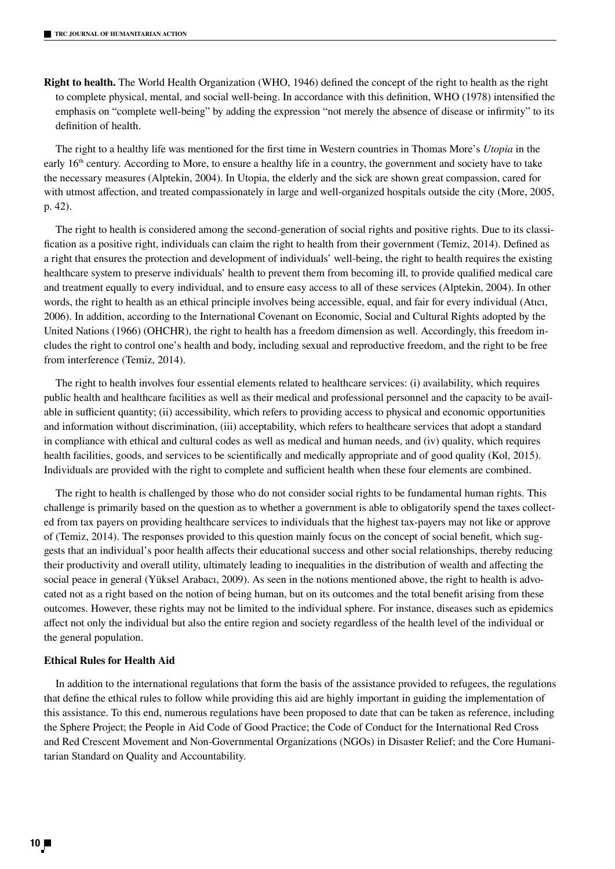**Right to health.** The World Health Organization (WHO, 1946) defined the concept of the right to health as the right to complete physical, mental, and social well-being. In accordance with this definition, WHO (1978) intensified the emphasis on "complete well-being" by adding the expression "not merely the absence of disease or infirmity" to its definition of health.

The right to a healthy life was mentioned for the first time in Western countries in Thomas More's *Utopia* in the early 16<sup>th</sup> century. According to More, to ensure a healthy life in a country, the government and society have to take the necessary measures (Alptekin, 2004). In Utopia, the elderly and the sick are shown great compassion, cared for with utmost affection, and treated compassionately in large and well-organized hospitals outside the city (More, 2005, p. 42).

The right to health is considered among the second-generation of social rights and positive rights. Due to its classification as a positive right, individuals can claim the right to health from their government (Temiz, 2014). Defined as a right that ensures the protection and development of individuals' well-being, the right to health requires the existing healthcare system to preserve individuals' health to prevent them from becoming ill, to provide qualified medical care and treatment equally to every individual, and to ensure easy access to all of these services (Alptekin, 2004). In other words, the right to health as an ethical principle involves being accessible, equal, and fair for every individual (Atıcı, 2006). In addition, according to the International Covenant on Economic, Social and Cultural Rights adopted by the United Nations (1966) (OHCHR), the right to health has a freedom dimension as well. Accordingly, this freedom includes the right to control one's health and body, including sexual and reproductive freedom, and the right to be free from interference (Temiz, 2014).

The right to health involves four essential elements related to healthcare services: (i) availability, which requires public health and healthcare facilities as well as their medical and professional personnel and the capacity to be available in sufficient quantity; (ii) accessibility, which refers to providing access to physical and economic opportunities and information without discrimination, (iii) acceptability, which refers to healthcare services that adopt a standard in compliance with ethical and cultural codes as well as medical and human needs, and (iv) quality, which requires health facilities, goods, and services to be scientifically and medically appropriate and of good quality (Kol, 2015). Individuals are provided with the right to complete and sufficient health when these four elements are combined.

The right to health is challenged by those who do not consider social rights to be fundamental human rights. This challenge is primarily based on the question as to whether a government is able to obligatorily spend the taxes collected from tax payers on providing healthcare services to individuals that the highest tax-payers may not like or approve of (Temiz, 2014). The responses provided to this question mainly focus on the concept of social benefit, which suggests that an individual's poor health affects their educational success and other social relationships, thereby reducing their productivity and overall utility, ultimately leading to inequalities in the distribution of wealth and affecting the social peace in general (Yüksel Arabacı, 2009). As seen in the notions mentioned above, the right to health is advocated not as a right based on the notion of being human, but on its outcomes and the total benefit arising from these outcomes. However, these rights may not be limited to the individual sphere. For instance, diseases such as epidemics affect not only the individual but also the entire region and society regardless of the health level of the individual or the general population.

## **Ethical Rules for Health Aid**

In addition to the international regulations that form the basis of the assistance provided to refugees, the regulations that define the ethical rules to follow while providing this aid are highly important in guiding the implementation of this assistance. To this end, numerous regulations have been proposed to date that can be taken as reference, including the Sphere Project; the People in Aid Code of Good Practice; the Code of Conduct for the International Red Cross and Red Crescent Movement and Non-Governmental Organizations (NGOs) in Disaster Relief; and the Core Humanitarian Standard on Quality and Accountability.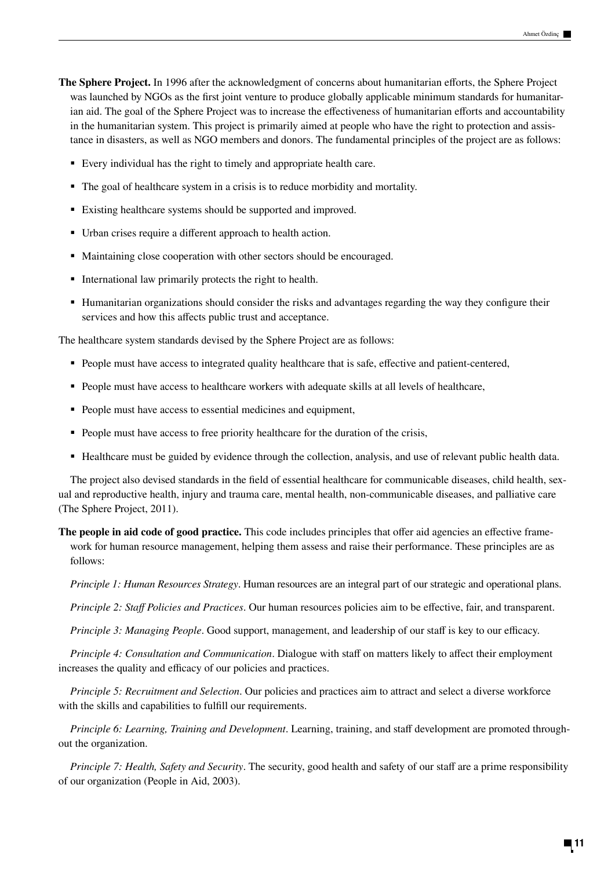**The Sphere Project.** In 1996 after the acknowledgment of concerns about humanitarian efforts, the Sphere Project was launched by NGOs as the first joint venture to produce globally applicable minimum standards for humanitarian aid. The goal of the Sphere Project was to increase the effectiveness of humanitarian efforts and accountability in the humanitarian system. This project is primarily aimed at people who have the right to protection and assistance in disasters, as well as NGO members and donors. The fundamental principles of the project are as follows:

- Every individual has the right to timely and appropriate health care.
- The goal of healthcare system in a crisis is to reduce morbidity and mortality.
- Existing healthcare systems should be supported and improved.
- Urban crises require a different approach to health action.
- Maintaining close cooperation with other sectors should be encouraged.
- International law primarily protects the right to health.
- Humanitarian organizations should consider the risks and advantages regarding the way they configure their services and how this affects public trust and acceptance.

The healthcare system standards devised by the Sphere Project are as follows:

- People must have access to integrated quality healthcare that is safe, effective and patient-centered,
- People must have access to healthcare workers with adequate skills at all levels of healthcare,
- People must have access to essential medicines and equipment,
- People must have access to free priority healthcare for the duration of the crisis,
- Healthcare must be guided by evidence through the collection, analysis, and use of relevant public health data.

The project also devised standards in the field of essential healthcare for communicable diseases, child health, sexual and reproductive health, injury and trauma care, mental health, non-communicable diseases, and palliative care (The Sphere Project, 2011).

**The people in aid code of good practice.** This code includes principles that offer aid agencies an effective framework for human resource management, helping them assess and raise their performance. These principles are as follows:

*Principle 1: Human Resources Strategy*. Human resources are an integral part of our strategic and operational plans.

*Principle 2: Staff Policies and Practices*. Our human resources policies aim to be effective, fair, and transparent.

*Principle 3: Managing People*. Good support, management, and leadership of our staff is key to our efficacy.

*Principle 4: Consultation and Communication*. Dialogue with staff on matters likely to affect their employment increases the quality and efficacy of our policies and practices.

*Principle 5: Recruitment and Selection*. Our policies and practices aim to attract and select a diverse workforce with the skills and capabilities to fulfill our requirements.

*Principle 6: Learning, Training and Development*. Learning, training, and staff development are promoted throughout the organization.

*Principle 7: Health, Safety and Security*. The security, good health and safety of our staff are a prime responsibility of our organization (People in Aid, 2003).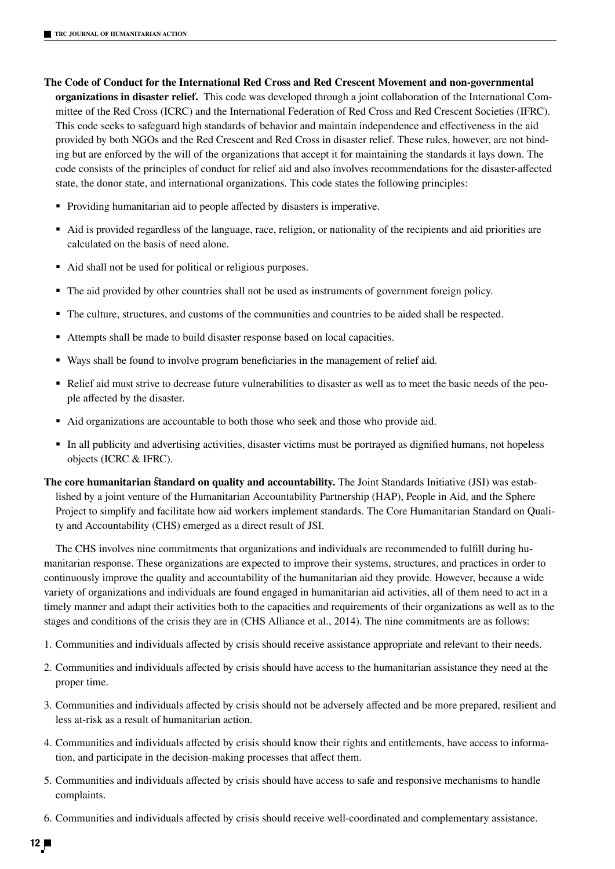- **The Code of Conduct for the International Red Cross and Red Crescent Movement and non-governmental organizations in disaster relief.** This code was developed through a joint collaboration of the International Committee of the Red Cross (ICRC) and the International Federation of Red Cross and Red Crescent Societies (IFRC). This code seeks to safeguard high standards of behavior and maintain independence and effectiveness in the aid provided by both NGOs and the Red Crescent and Red Cross in disaster relief. These rules, however, are not binding but are enforced by the will of the organizations that accept it for maintaining the standards it lays down. The code consists of the principles of conduct for relief aid and also involves recommendations for the disaster-affected state, the donor state, and international organizations. This code states the following principles:
	- Providing humanitarian aid to people affected by disasters is imperative.
	- Aid is provided regardless of the language, race, religion, or nationality of the recipients and aid priorities are calculated on the basis of need alone.
	- Aid shall not be used for political or religious purposes.
	- The aid provided by other countries shall not be used as instruments of government foreign policy.
	- The culture, structures, and customs of the communities and countries to be aided shall be respected.
	- Attempts shall be made to build disaster response based on local capacities.
	- Ways shall be found to involve program beneficiaries in the management of relief aid.
	- Relief aid must strive to decrease future vulnerabilities to disaster as well as to meet the basic needs of the people affected by the disaster.
	- Aid organizations are accountable to both those who seek and those who provide aid.
	- In all publicity and advertising activities, disaster victims must be portrayed as dignified humans, not hopeless objects (ICRC & IFRC).
- **The core humanitarian standard on quality and accountability.** The Joint Standards Initiative (JSI) was established by a joint venture of the Humanitarian Accountability Partnership (HAP), People in Aid, and the Sphere Project to simplify and facilitate how aid workers implement standards. The Core Humanitarian Standard on Quality and Accountability (CHS) emerged as a direct result of JSI.

The CHS involves nine commitments that organizations and individuals are recommended to fulfill during humanitarian response. These organizations are expected to improve their systems, structures, and practices in order to continuously improve the quality and accountability of the humanitarian aid they provide. However, because a wide variety of organizations and individuals are found engaged in humanitarian aid activities, all of them need to act in a timely manner and adapt their activities both to the capacities and requirements of their organizations as well as to the stages and conditions of the crisis they are in (CHS Alliance et al., 2014). The nine commitments are as follows:

- 1. Communities and individuals affected by crisis should receive assistance appropriate and relevant to their needs.
- 2. Communities and individuals affected by crisis should have access to the humanitarian assistance they need at the proper time.
- 3. Communities and individuals affected by crisis should not be adversely affected and be more prepared, resilient and less at-risk as a result of humanitarian action.
- 4. Communities and individuals affected by crisis should know their rights and entitlements, have access to information, and participate in the decision-making processes that affect them.
- 5. Communities and individuals affected by crisis should have access to safe and responsive mechanisms to handle complaints.
- 6. Communities and individuals affected by crisis should receive well-coordinated and complementary assistance.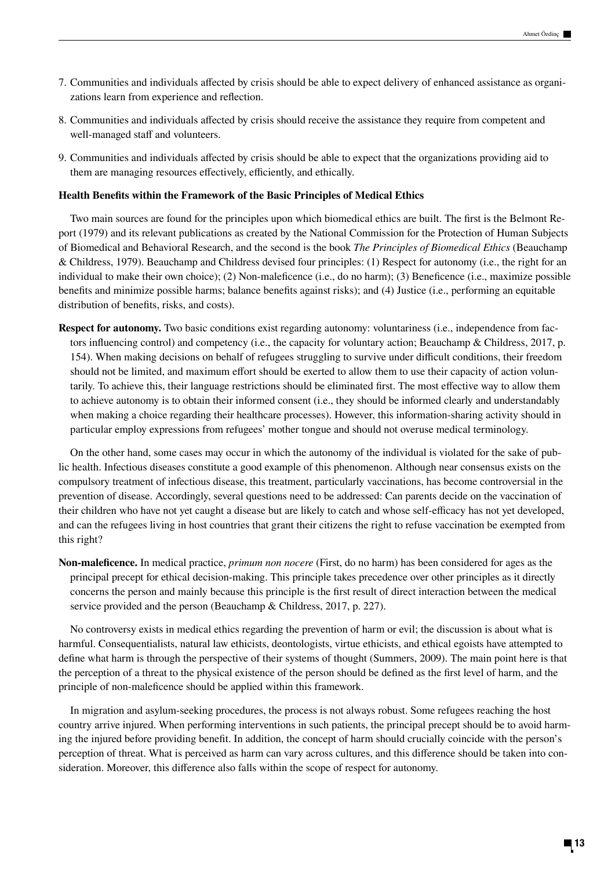- 7. Communities and individuals affected by crisis should be able to expect delivery of enhanced assistance as organizations learn from experience and reflection.
- 8. Communities and individuals affected by crisis should receive the assistance they require from competent and well-managed staff and volunteers.
- 9. Communities and individuals affected by crisis should be able to expect that the organizations providing aid to them are managing resources effectively, efficiently, and ethically.

#### **Health Benefits within the Framework of the Basic Principles of Medical Ethics**

Two main sources are found for the principles upon which biomedical ethics are built. The first is the Belmont Report (1979) and its relevant publications as created by the National Commission for the Protection of Human Subjects of Biomedical and Behavioral Research, and the second is the book *The Principles of Biomedical Ethics* (Beauchamp & Childress, 1979). Beauchamp and Childress devised four principles: (1) Respect for autonomy (i.e., the right for an individual to make their own choice); (2) Non-maleficence (i.e., do no harm); (3) Beneficence (i.e., maximize possible benefits and minimize possible harms; balance benefits against risks); and (4) Justice (i.e., performing an equitable distribution of benefits, risks, and costs).

**Respect for autonomy.** Two basic conditions exist regarding autonomy: voluntariness (i.e., independence from factors influencing control) and competency (i.e., the capacity for voluntary action; Beauchamp & Childress, 2017, p. 154). When making decisions on behalf of refugees struggling to survive under difficult conditions, their freedom should not be limited, and maximum effort should be exerted to allow them to use their capacity of action voluntarily. To achieve this, their language restrictions should be eliminated first. The most effective way to allow them to achieve autonomy is to obtain their informed consent (i.e., they should be informed clearly and understandably when making a choice regarding their healthcare processes). However, this information-sharing activity should in particular employ expressions from refugees' mother tongue and should not overuse medical terminology.

On the other hand, some cases may occur in which the autonomy of the individual is violated for the sake of public health. Infectious diseases constitute a good example of this phenomenon. Although near consensus exists on the compulsory treatment of infectious disease, this treatment, particularly vaccinations, has become controversial in the prevention of disease. Accordingly, several questions need to be addressed: Can parents decide on the vaccination of their children who have not yet caught a disease but are likely to catch and whose self-efficacy has not yet developed, and can the refugees living in host countries that grant their citizens the right to refuse vaccination be exempted from this right?

**Non-maleficence.** In medical practice, *primum non nocere* (First, do no harm) has been considered for ages as the principal precept for ethical decision-making. This principle takes precedence over other principles as it directly concerns the person and mainly because this principle is the first result of direct interaction between the medical service provided and the person (Beauchamp & Childress, 2017, p. 227).

No controversy exists in medical ethics regarding the prevention of harm or evil; the discussion is about what is harmful. Consequentialists, natural law ethicists, deontologists, virtue ethicists, and ethical egoists have attempted to define what harm is through the perspective of their systems of thought (Summers, 2009). The main point here is that the perception of a threat to the physical existence of the person should be defined as the first level of harm, and the principle of non-maleficence should be applied within this framework.

In migration and asylum-seeking procedures, the process is not always robust. Some refugees reaching the host country arrive injured. When performing interventions in such patients, the principal precept should be to avoid harming the injured before providing benefit. In addition, the concept of harm should crucially coincide with the person's perception of threat. What is perceived as harm can vary across cultures, and this difference should be taken into consideration. Moreover, this difference also falls within the scope of respect for autonomy.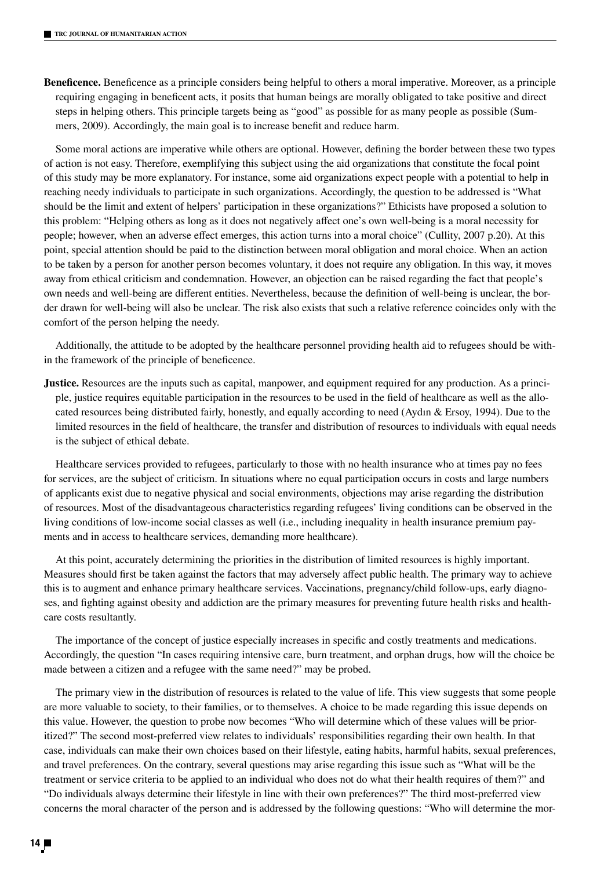**Beneficence.** Beneficence as a principle considers being helpful to others a moral imperative. Moreover, as a principle requiring engaging in beneficent acts, it posits that human beings are morally obligated to take positive and direct steps in helping others. This principle targets being as "good" as possible for as many people as possible (Summers, 2009). Accordingly, the main goal is to increase benefit and reduce harm.

Some moral actions are imperative while others are optional. However, defining the border between these two types of action is not easy. Therefore, exemplifying this subject using the aid organizations that constitute the focal point of this study may be more explanatory. For instance, some aid organizations expect people with a potential to help in reaching needy individuals to participate in such organizations. Accordingly, the question to be addressed is "What should be the limit and extent of helpers' participation in these organizations?" Ethicists have proposed a solution to this problem: "Helping others as long as it does not negatively affect one's own well-being is a moral necessity for people; however, when an adverse effect emerges, this action turns into a moral choice" (Cullity, 2007 p.20). At this point, special attention should be paid to the distinction between moral obligation and moral choice. When an action to be taken by a person for another person becomes voluntary, it does not require any obligation. In this way, it moves away from ethical criticism and condemnation. However, an objection can be raised regarding the fact that people's own needs and well-being are different entities. Nevertheless, because the definition of well-being is unclear, the border drawn for well-being will also be unclear. The risk also exists that such a relative reference coincides only with the comfort of the person helping the needy.

Additionally, the attitude to be adopted by the healthcare personnel providing health aid to refugees should be within the framework of the principle of beneficence.

**Justice.** Resources are the inputs such as capital, manpower, and equipment required for any production. As a principle, justice requires equitable participation in the resources to be used in the field of healthcare as well as the allocated resources being distributed fairly, honestly, and equally according to need (Aydın & Ersoy, 1994). Due to the limited resources in the field of healthcare, the transfer and distribution of resources to individuals with equal needs is the subject of ethical debate.

Healthcare services provided to refugees, particularly to those with no health insurance who at times pay no fees for services, are the subject of criticism. In situations where no equal participation occurs in costs and large numbers of applicants exist due to negative physical and social environments, objections may arise regarding the distribution of resources. Most of the disadvantageous characteristics regarding refugees' living conditions can be observed in the living conditions of low-income social classes as well (i.e., including inequality in health insurance premium payments and in access to healthcare services, demanding more healthcare).

At this point, accurately determining the priorities in the distribution of limited resources is highly important. Measures should first be taken against the factors that may adversely affect public health. The primary way to achieve this is to augment and enhance primary healthcare services. Vaccinations, pregnancy/child follow-ups, early diagnoses, and fighting against obesity and addiction are the primary measures for preventing future health risks and healthcare costs resultantly.

The importance of the concept of justice especially increases in specific and costly treatments and medications. Accordingly, the question "In cases requiring intensive care, burn treatment, and orphan drugs, how will the choice be made between a citizen and a refugee with the same need?" may be probed.

The primary view in the distribution of resources is related to the value of life. This view suggests that some people are more valuable to society, to their families, or to themselves. A choice to be made regarding this issue depends on this value. However, the question to probe now becomes "Who will determine which of these values will be prioritized?" The second most-preferred view relates to individuals' responsibilities regarding their own health. In that case, individuals can make their own choices based on their lifestyle, eating habits, harmful habits, sexual preferences, and travel preferences. On the contrary, several questions may arise regarding this issue such as "What will be the treatment or service criteria to be applied to an individual who does not do what their health requires of them?" and "Do individuals always determine their lifestyle in line with their own preferences?" The third most-preferred view concerns the moral character of the person and is addressed by the following questions: "Who will determine the mor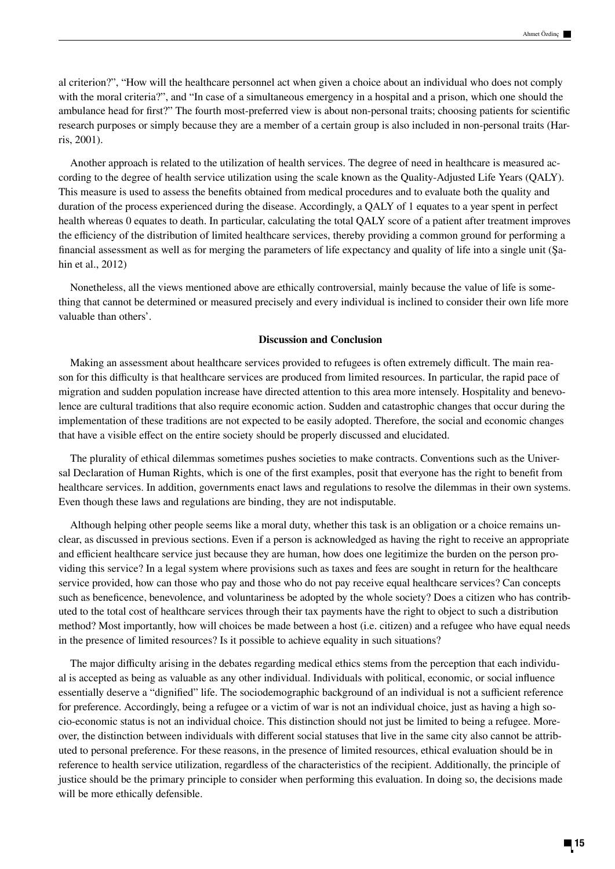al criterion?", "How will the healthcare personnel act when given a choice about an individual who does not comply with the moral criteria?", and "In case of a simultaneous emergency in a hospital and a prison, which one should the ambulance head for first?" The fourth most-preferred view is about non-personal traits; choosing patients for scientific research purposes or simply because they are a member of a certain group is also included in non-personal traits (Harris, 2001).

Another approach is related to the utilization of health services. The degree of need in healthcare is measured according to the degree of health service utilization using the scale known as the Quality-Adjusted Life Years (QALY). This measure is used to assess the benefits obtained from medical procedures and to evaluate both the quality and duration of the process experienced during the disease. Accordingly, a QALY of 1 equates to a year spent in perfect health whereas 0 equates to death. In particular, calculating the total QALY score of a patient after treatment improves the efficiency of the distribution of limited healthcare services, thereby providing a common ground for performing a financial assessment as well as for merging the parameters of life expectancy and quality of life into a single unit (Şahin et al., 2012)

Nonetheless, all the views mentioned above are ethically controversial, mainly because the value of life is something that cannot be determined or measured precisely and every individual is inclined to consider their own life more valuable than others'.

## **Discussion and Conclusion**

Making an assessment about healthcare services provided to refugees is often extremely difficult. The main reason for this difficulty is that healthcare services are produced from limited resources. In particular, the rapid pace of migration and sudden population increase have directed attention to this area more intensely. Hospitality and benevolence are cultural traditions that also require economic action. Sudden and catastrophic changes that occur during the implementation of these traditions are not expected to be easily adopted. Therefore, the social and economic changes that have a visible effect on the entire society should be properly discussed and elucidated.

The plurality of ethical dilemmas sometimes pushes societies to make contracts. Conventions such as the Universal Declaration of Human Rights, which is one of the first examples, posit that everyone has the right to benefit from healthcare services. In addition, governments enact laws and regulations to resolve the dilemmas in their own systems. Even though these laws and regulations are binding, they are not indisputable.

Although helping other people seems like a moral duty, whether this task is an obligation or a choice remains unclear, as discussed in previous sections. Even if a person is acknowledged as having the right to receive an appropriate and efficient healthcare service just because they are human, how does one legitimize the burden on the person providing this service? In a legal system where provisions such as taxes and fees are sought in return for the healthcare service provided, how can those who pay and those who do not pay receive equal healthcare services? Can concepts such as beneficence, benevolence, and voluntariness be adopted by the whole society? Does a citizen who has contributed to the total cost of healthcare services through their tax payments have the right to object to such a distribution method? Most importantly, how will choices be made between a host (i.e. citizen) and a refugee who have equal needs in the presence of limited resources? Is it possible to achieve equality in such situations?

The major difficulty arising in the debates regarding medical ethics stems from the perception that each individual is accepted as being as valuable as any other individual. Individuals with political, economic, or social influence essentially deserve a "dignified" life. The sociodemographic background of an individual is not a sufficient reference for preference. Accordingly, being a refugee or a victim of war is not an individual choice, just as having a high socio-economic status is not an individual choice. This distinction should not just be limited to being a refugee. Moreover, the distinction between individuals with different social statuses that live in the same city also cannot be attributed to personal preference. For these reasons, in the presence of limited resources, ethical evaluation should be in reference to health service utilization, regardless of the characteristics of the recipient. Additionally, the principle of justice should be the primary principle to consider when performing this evaluation. In doing so, the decisions made will be more ethically defensible.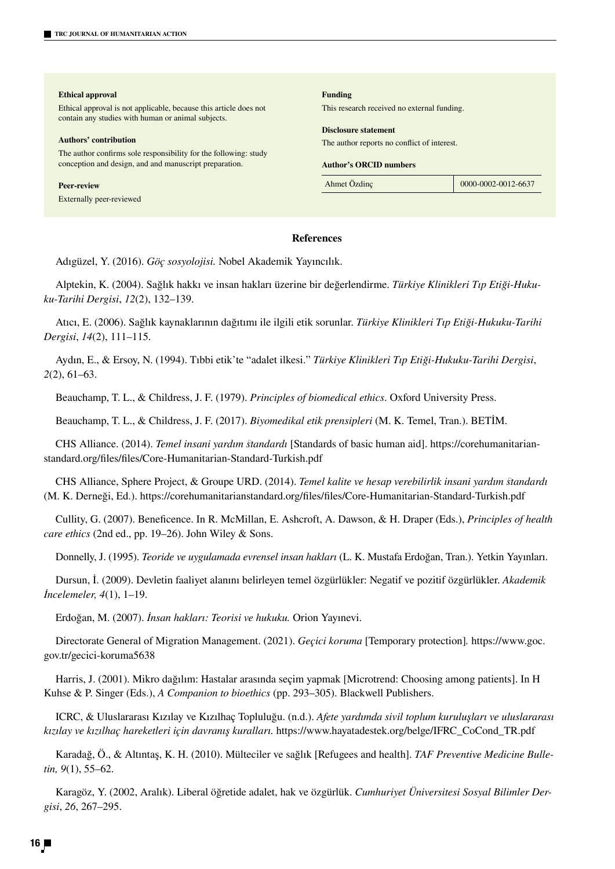| <b>Ethical approval</b>                                                                                                 | <b>Funding</b>                              |                     |
|-------------------------------------------------------------------------------------------------------------------------|---------------------------------------------|---------------------|
| Ethical approval is not applicable, because this article does not<br>contain any studies with human or animal subjects. | This research received no external funding. |                     |
|                                                                                                                         | <b>Disclosure statement</b>                 |                     |
| Authors' contribution                                                                                                   | The author reports no conflict of interest. |                     |
| The author confirms sole responsibility for the following: study                                                        |                                             |                     |
| conception and design, and and manuscript preparation.                                                                  | <b>Author's ORCID numbers</b>               |                     |
| <b>Peer-review</b>                                                                                                      | Ahmet Özdinc                                | 0000-0002-0012-6637 |
| Externally peer-reviewed                                                                                                |                                             |                     |
|                                                                                                                         |                                             |                     |

## **References**

Adıgüzel, Y. (2016). *Göç sosyolojisi.* Nobel Akademik Yayıncılık.

Alptekin, K. (2004). Sağlık hakkı ve insan hakları üzerine bir değerlendirme. *Türkiye Klinikleri Tıp Etiği-Hukuku-Tarihi Dergisi*, *12*(2), 132–139.

Atıcı, E. (2006). Sağlık kaynaklarının dağıtımı ile ilgili etik sorunlar. *Türkiye Klinikleri Tıp Etiği-Hukuku-Tarihi Dergisi*, *14*(2), 111–115.

Aydın, E., & Ersoy, N. (1994). Tıbbi etik'te "adalet ilkesi." *Türkiye Klinikleri Tıp Etiği-Hukuku-Tarihi Dergisi*, *2*(2), 61–63.

Beauchamp, T. L., & Childress, J. F. (1979). *Principles of biomedical ethics*. Oxford University Press.

Beauchamp, T. L., & Childress, J. F. (2017). *Biyomedikal etik prensipleri* (M. K. Temel, Tran.). BETİM.

CHS Alliance. (2014). *Temel insani yardım standardı* [Standards of basic human aid]. https://corehumanitarianstandard.org/files/files/Core-Humanitarian-Standard-Turkish.pdf

CHS Alliance, Sphere Project, & Groupe URD. (2014). *Temel kalite ve hesap verebilirlik insani yardım standardı* (M. K. Derneği, Ed.). https://corehumanitarianstandard.org/files/files/Core-Humanitarian-Standard-Turkish.pdf

Cullity, G. (2007). Beneficence. In R. McMillan, E. Ashcroft, A. Dawson, & H. Draper (Eds.), *Principles of health care ethics* (2nd ed., pp. 19–26). John Wiley & Sons.

Donnelly, J. (1995). *Teoride ve uygulamada evrensel insan hakları* (L. K. Mustafa Erdoğan, Tran.). Yetkin Yayınları.

Dursun, İ. (2009). Devletin faaliyet alanını belirleyen temel özgürlükler: Negatif ve pozitif özgürlükler. *Akademik İncelemeler, 4*(1), 1–19.

Erdoğan, M. (2007). *İnsan hakları: Teorisi ve hukuku.* Orion Yayınevi.

Directorate General of Migration Management. (2021). *Geçici koruma* [Temporary protection]*.* https://www.goc. gov.tr/gecici-koruma5638

Harris, J. (2001). Mikro dağılım: Hastalar arasında seçim yapmak [Microtrend: Choosing among patients]. In H Kuhse & P. Singer (Eds.), *A Companion to bioethics* (pp. 293–305). Blackwell Publishers.

ICRC, & Uluslararası Kızılay ve Kızılhaç Topluluğu. (n.d.). *Afete yardımda sivil toplum kuruluşları ve uluslararası kızılay ve kızılhaç hareketleri için davranış kuralları.* https://www.hayatadestek.org/belge/IFRC\_CoCond\_TR.pdf

Karadağ, Ö., & Altıntaş, K. H. (2010). Mülteciler ve sağlık [Refugees and health]. *TAF Preventive Medicine Bulletin, 9*(1), 55–62.

Karagöz, Y. (2002, Aralık). Liberal öğretide adalet, hak ve özgürlük. *Cumhuriyet Üniversitesi Sosyal Bilimler Dergisi*, *26*, 267–295.